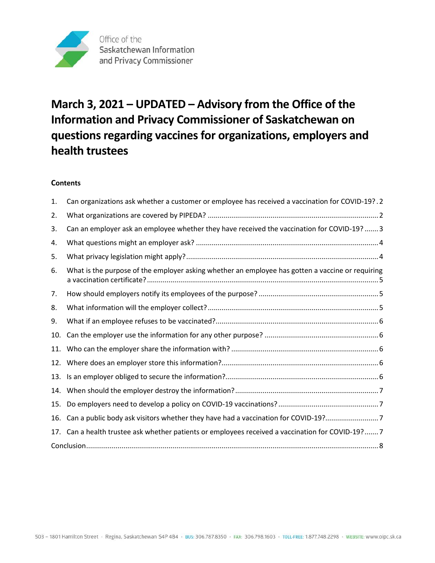

# **March 3, 2021 – UPDATED – Advisory from the Office of the Information and Privacy Commissioner of Saskatchewan on questions regarding vaccines for organizations, employers and health trustees**

# **Contents**

| 1.  | Can organizations ask whether a customer or employee has received a vaccination for COVID-19?.2  |
|-----|--------------------------------------------------------------------------------------------------|
| 2.  |                                                                                                  |
| 3.  | Can an employer ask an employee whether they have received the vaccination for COVID-19? 3       |
| 4.  |                                                                                                  |
| 5.  |                                                                                                  |
| 6.  | What is the purpose of the employer asking whether an employee has gotten a vaccine or requiring |
| 7.  |                                                                                                  |
| 8.  |                                                                                                  |
| 9.  |                                                                                                  |
| 10. |                                                                                                  |
| 11. |                                                                                                  |
| 12. |                                                                                                  |
| 13. |                                                                                                  |
| 14. |                                                                                                  |
| 15. |                                                                                                  |
| 16. | Can a public body ask visitors whether they have had a vaccination for COVID-19?7                |
| 17. | Can a health trustee ask whether patients or employees received a vaccination for COVID-19?7     |
|     |                                                                                                  |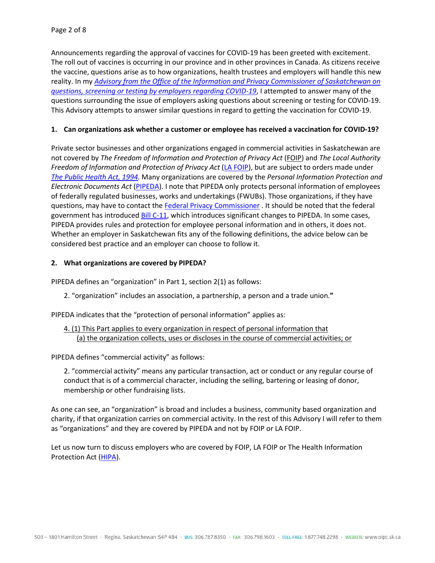Announcements regarding the approval of vaccines for COVID-19 has been greeted with excitement. The roll out of vaccines is occurring in our province and in other provinces in Canada. As citizens receive the vaccine, questions arise as to how organizations, health trustees and employers will handle this new reality. In my *[Advisory from the Office of the Information and Privacy Commissioner of Saskatchewan on](https://oipc.sk.ca/advisory-from-the-office-of-the-information-and-privacy-commissioner-of-saskatchewan-on-questions-screening-or-testing-by-employers-regarding-covid-19/)  [questions, screening or testing by employers regarding COVID-19](https://oipc.sk.ca/advisory-from-the-office-of-the-information-and-privacy-commissioner-of-saskatchewan-on-questions-screening-or-testing-by-employers-regarding-covid-19/)*, I attempted to answer many of the questions surrounding the issue of employers asking questions about screening or testing for COVID-19. This Advisory attempts to answer similar questions in regard to getting the vaccination for COVID-19.

## <span id="page-1-0"></span>**1. Can organizations ask whether a customer or employee has received a vaccination for COVID-19?**

Private sector businesses and other organizations engaged in commercial activities in Saskatchewan are not covered by *The Freedom of Information and Protection of Privacy Act* [\(FOIP\)](https://pubsaskdev.blob.core.windows.net/pubsask-prod/694/F22-01.pdf) and *The Local Authority Freedom of Information and Protection of Privacy Act* [\(LA FOIP\)](https://pubsaskdev.blob.core.windows.net/pubsask-prod/850/L27-1.pdf), but are subject to orders made under *[The Public Health Act, 1994](https://publications.saskatchewan.ca/#/products/786)*. Many organizations are covered by the *Personal Information Protection and Electronic Documents Act* [\(PIPEDA\)](https://www.parl.ca/DocumentViewer/en/36-2/bill/C-6/royal-assent). I note that PIPEDA only protects personal information of employees of federally regulated businesses, works and undertakings (FWUBs). Those organizations, if they have questions, may have to contact th[e Federal Privacy Commissioner](https://www.priv.gc.ca/en/) . It should be noted that the federal government has introduce[d Bill C-11,](https://parl.ca/DocumentViewer/en/43-2/bill/C-11/first-reading) which introduces significant changes to PIPEDA. In some cases, PIPEDA provides rules and protection for employee personal information and in others, it does not. Whether an employer in Saskatchewan fits any of the following definitions, the advice below can be considered best practice and an employer can choose to follow it.

### <span id="page-1-1"></span>**2. What organizations are covered by PIPEDA?**

PIPEDA defines an "organization" in Part 1, section 2(1) as follows:

2. "organization" includes an association, a partnership, a person and a trade union.**"**

PIPEDA indicates that the "protection of personal information" applies as:

## 4. (1) This Part applies to every organization in respect of personal information that (a) the organization collects, uses or discloses in the course of commercial activities; or

PIPEDA defines "commercial activity" as follows:

2. "commercial activity" means any particular transaction, act or conduct or any regular course of conduct that is of a commercial character, including the selling, bartering or leasing of donor, membership or other fundraising lists.

As one can see, an "organization" is broad and includes a business, community based organization and charity, if that organization carries on commercial activity. In the rest of this Advisory I will refer to them as "organizations" and they are covered by PIPEDA and not by FOIP or LA FOIP.

Let us now turn to discuss employers who are covered by FOIP, LA FOIP or The Health Information Protection Act [\(HIPA\)](https://pubsaskdev.blob.core.windows.net/pubsask-prod/8623/H0-021.pdf).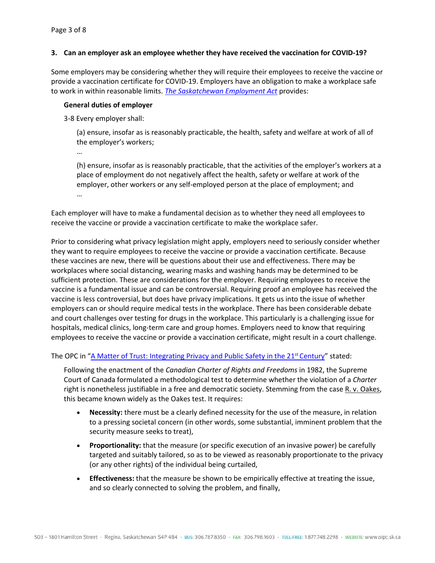### <span id="page-2-0"></span>**3. Can an employer ask an employee whether they have received the vaccination for COVID-19?**

Some employers may be considering whether they will require their employees to receive the vaccine or provide a vaccination certificate for COVID-19. Employers have an obligation to make a workplace safe to work in within reasonable limits. *[The Saskatchewan Employment Act](http://www.worksafesask.ca/wp-content/uploads/2019/06/OHS-Legislation-190611.pdf)* provides:

#### **General duties of employer**

3‑8 Every employer shall:

(a) ensure, insofar as is reasonably practicable, the health, safety and welfare at work of all of the employer's workers;

…

(h) ensure, insofar as is reasonably practicable, that the activities of the employer's workers at a place of employment do not negatively affect the health, safety or welfare at work of the employer, other workers or any self-employed person at the place of employment; and …

Each employer will have to make a fundamental decision as to whether they need all employees to receive the vaccine or provide a vaccination certificate to make the workplace safer.

Prior to considering what privacy legislation might apply, employers need to seriously consider whether they want to require employees to receive the vaccine or provide a vaccination certificate. Because these vaccines are new, there will be questions about their use and effectiveness. There may be workplaces where social distancing, wearing masks and washing hands may be determined to be sufficient protection. These are considerations for the employer. Requiring employees to receive the vaccine is a fundamental issue and can be controversial. Requiring proof an employee has received the vaccine is less controversial, but does have privacy implications. It gets us into the issue of whether employers can or should require medical tests in the workplace. There has been considerable debate and court challenges over testing for drugs in the workplace. This particularly is a challenging issue for hospitals, medical clinics, long-term care and group homes. Employers need to know that requiring employees to receive the vaccine or provide a vaccination certificate, might result in a court challenge.

The OPC in "A Matter of Trust: Integrating Privacy and Public Safety in the 21<sup>st</sup> Century" stated:

Following the enactment of the *Canadian Charter of Rights and Freedoms* in 1982, the Supreme Court of Canada formulated a methodological test to determine whether the violation of a *Charter*  right is nonetheless justifiable in a free and democratic society. Stemming from the cas[e R. v. Oakes,](https://www.canlii.org/en/ca/scc/doc/1986/1986canlii46/1986canlii46.html) this became known widely as the Oakes test. It requires:

- **Necessity:** there must be a clearly defined necessity for the use of the measure, in relation to a pressing societal concern (in other words, some substantial, imminent problem that the security measure seeks to treat),
- **Proportionality:** that the measure (or specific execution of an invasive power) be carefully targeted and suitably tailored, so as to be viewed as reasonably proportionate to the privacy (or any other rights) of the individual being curtailed,
- **Effectiveness:** that the measure be shown to be empirically effective at treating the issue, and so clearly connected to solving the problem, and finally,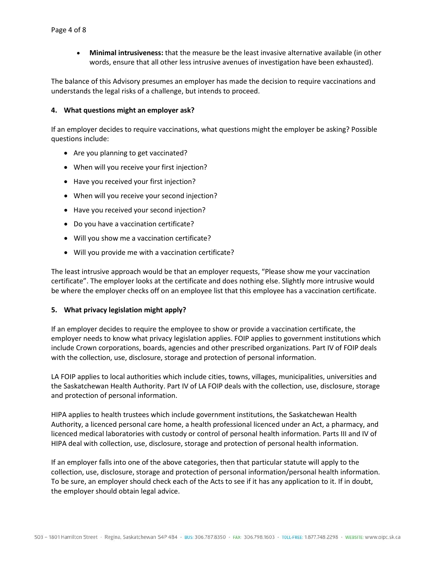• **Minimal intrusiveness:** that the measure be the least invasive alternative available (in other words, ensure that all other less intrusive avenues of investigation have been exhausted).

The balance of this Advisory presumes an employer has made the decision to require vaccinations and understands the legal risks of a challenge, but intends to proceed.

#### <span id="page-3-0"></span>**4. What questions might an employer ask?**

If an employer decides to require vaccinations, what questions might the employer be asking? Possible questions include:

- Are you planning to get vaccinated?
- When will you receive your first injection?
- Have you received your first injection?
- When will you receive your second injection?
- Have you received your second injection?
- Do you have a vaccination certificate?
- Will you show me a vaccination certificate?
- Will you provide me with a vaccination certificate?

The least intrusive approach would be that an employer requests, "Please show me your vaccination certificate". The employer looks at the certificate and does nothing else. Slightly more intrusive would be where the employer checks off on an employee list that this employee has a vaccination certificate.

#### <span id="page-3-1"></span>**5. What privacy legislation might apply?**

If an employer decides to require the employee to show or provide a vaccination certificate, the employer needs to know what privacy legislation applies. FOIP applies to government institutions which include Crown corporations, boards, agencies and other prescribed organizations. Part IV of FOIP deals with the collection, use, disclosure, storage and protection of personal information.

LA FOIP applies to local authorities which include cities, towns, villages, municipalities, universities and the Saskatchewan Health Authority. Part IV of LA FOIP deals with the collection, use, disclosure, storage and protection of personal information.

HIPA applies to health trustees which include government institutions, the Saskatchewan Health Authority, a licenced personal care home, a health professional licenced under an Act, a pharmacy, and licenced medical laboratories with custody or control of personal health information. Parts III and IV of HIPA deal with collection, use, disclosure, storage and protection of personal health information.

If an employer falls into one of the above categories, then that particular statute will apply to the collection, use, disclosure, storage and protection of personal information/personal health information. To be sure, an employer should check each of the Acts to see if it has any application to it. If in doubt, the employer should obtain legal advice.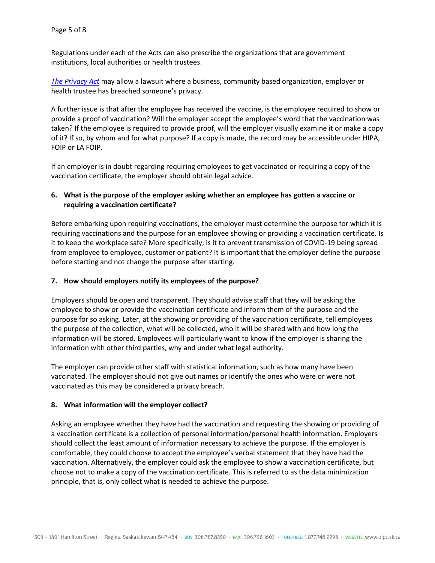Regulations under each of the Acts can also prescribe the organizations that are government institutions, local authorities or health trustees.

*[The Privacy Act](https://publications.saskatchewan.ca/#/products/767)* may allow a lawsuit where a business, community based organization, employer or health trustee has breached someone's privacy.

A further issue is that after the employee has received the vaccine, is the employee required to show or provide a proof of vaccination? Will the employer accept the employee's word that the vaccination was taken? If the employee is required to provide proof, will the employer visually examine it or make a copy of it? If so, by whom and for what purpose? If a copy is made, the record may be accessible under HIPA, FOIP or LA FOIP.

If an employer is in doubt regarding requiring employees to get vaccinated or requiring a copy of the vaccination certificate, the employer should obtain legal advice.

# <span id="page-4-0"></span>**6. What is the purpose of the employer asking whether an employee has gotten a vaccine or requiring a vaccination certificate?**

Before embarking upon requiring vaccinations, the employer must determine the purpose for which it is requiring vaccinations and the purpose for an employee showing or providing a vaccination certificate. Is it to keep the workplace safe? More specifically, is it to prevent transmission of COVID-19 being spread from employee to employee, customer or patient? It is important that the employer define the purpose before starting and not change the purpose after starting.

## <span id="page-4-1"></span>**7. How should employers notify its employees of the purpose?**

Employers should be open and transparent. They should advise staff that they will be asking the employee to show or provide the vaccination certificate and inform them of the purpose and the purpose for so asking. Later, at the showing or providing of the vaccination certificate, tell employees the purpose of the collection, what will be collected, who it will be shared with and how long the information will be stored. Employees will particularly want to know if the employer is sharing the information with other third parties, why and under what legal authority.

The employer can provide other staff with statistical information, such as how many have been vaccinated. The employer should not give out names or identify the ones who were or were not vaccinated as this may be considered a privacy breach.

### <span id="page-4-2"></span>**8. What information will the employer collect?**

Asking an employee whether they have had the vaccination and requesting the showing or providing of a vaccination certificate is a collection of personal information/personal health information. Employers should collect the least amount of information necessary to achieve the purpose. If the employer is comfortable, they could choose to accept the employee's verbal statement that they have had the vaccination. Alternatively, the employer could ask the employee to show a vaccination certificate, but choose not to make a copy of the vaccination certificate. This is referred to as the data minimization principle, that is, only collect what is needed to achieve the purpose.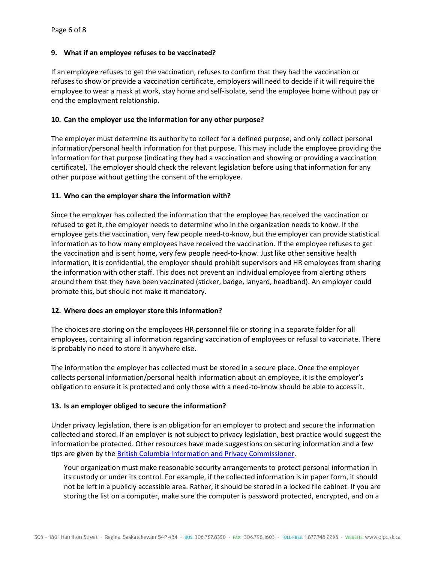## <span id="page-5-0"></span>**9. What if an employee refuses to be vaccinated?**

If an employee refuses to get the vaccination, refuses to confirm that they had the vaccination or refuses to show or provide a vaccination certificate, employers will need to decide if it will require the employee to wear a mask at work, stay home and self-isolate, send the employee home without pay or end the employment relationship.

## <span id="page-5-1"></span>**10. Can the employer use the information for any other purpose?**

The employer must determine its authority to collect for a defined purpose, and only collect personal information/personal health information for that purpose. This may include the employee providing the information for that purpose (indicating they had a vaccination and showing or providing a vaccination certificate). The employer should check the relevant legislation before using that information for any other purpose without getting the consent of the employee.

## <span id="page-5-2"></span>**11. Who can the employer share the information with?**

Since the employer has collected the information that the employee has received the vaccination or refused to get it, the employer needs to determine who in the organization needs to know. If the employee gets the vaccination, very few people need-to-know, but the employer can provide statistical information as to how many employees have received the vaccination. If the employee refuses to get the vaccination and is sent home, very few people need-to-know. Just like other sensitive health information, it is confidential, the employer should prohibit supervisors and HR employees from sharing the information with other staff. This does not prevent an individual employee from alerting others around them that they have been vaccinated (sticker, badge, lanyard, headband). An employer could promote this, but should not make it mandatory.

### <span id="page-5-3"></span>**12. Where does an employer store this information?**

The choices are storing on the employees HR personnel file or storing in a separate folder for all employees, containing all information regarding vaccination of employees or refusal to vaccinate. There is probably no need to store it anywhere else.

The information the employer has collected must be stored in a secure place. Once the employer collects personal information/personal health information about an employee, it is the employer's obligation to ensure it is protected and only those with a need-to-know should be able to access it.

### <span id="page-5-4"></span>**13. Is an employer obliged to secure the information?**

Under privacy legislation, there is an obligation for an employer to protect and secure the information collected and stored. If an employer is not subject to privacy legislation, best practice would suggest the information be protected. Other resources have made suggestions on securing information and a few tips are given by the [British Columbia Information and Privacy Commissioner.](https://www.oipc.bc.ca/guidance-documents/2421)

Your organization must make reasonable security arrangements to protect personal information in its custody or under its control. For example, if the collected information is in paper form, it should not be left in a publicly accessible area. Rather, it should be stored in a locked file cabinet. If you are storing the list on a computer, make sure the computer is password protected, encrypted, and on a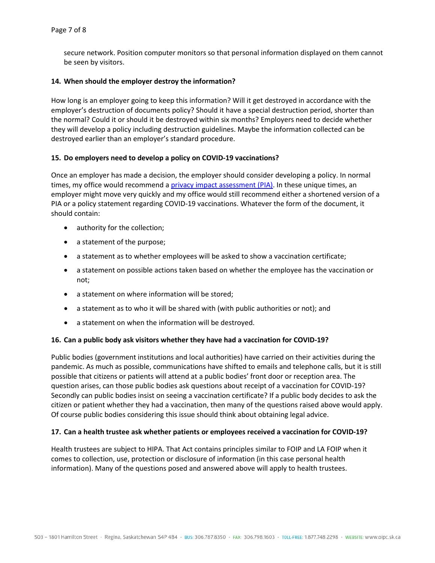secure network. Position computer monitors so that personal information displayed on them cannot be seen by visitors.

### <span id="page-6-0"></span>**14. When should the employer destroy the information?**

How long is an employer going to keep this information? Will it get destroyed in accordance with the employer's destruction of documents policy? Should it have a special destruction period, shorter than the normal? Could it or should it be destroyed within six months? Employers need to decide whether they will develop a policy including destruction guidelines. Maybe the information collected can be destroyed earlier than an employer's standard procedure.

#### <span id="page-6-1"></span>**15. Do employers need to develop a policy on COVID-19 vaccinations?**

Once an employer has made a decision, the employer should consider developing a policy. In normal times, my office would recommend [a privacy impact assessment \(PIA\).](https://oipc.sk.ca/assets/privacy-impact-assessment-guidance-document.pdf) In these unique times, an employer might move very quickly and my office would still recommend either a shortened version of a PIA or a policy statement regarding COVID-19 vaccinations. Whatever the form of the document, it should contain:

- authority for the collection;
- a statement of the purpose;
- a statement as to whether employees will be asked to show a vaccination certificate;
- a statement on possible actions taken based on whether the employee has the vaccination or not;
- a statement on where information will be stored;
- a statement as to who it will be shared with (with public authorities or not); and
- a statement on when the information will be destroyed.

#### <span id="page-6-2"></span>**16. Can a public body ask visitors whether they have had a vaccination for COVID-19?**

Public bodies (government institutions and local authorities) have carried on their activities during the pandemic. As much as possible, communications have shifted to emails and telephone calls, but it is still possible that citizens or patients will attend at a public bodies' front door or reception area. The question arises, can those public bodies ask questions about receipt of a vaccination for COVID-19? Secondly can public bodies insist on seeing a vaccination certificate? If a public body decides to ask the citizen or patient whether they had a vaccination, then many of the questions raised above would apply. Of course public bodies considering this issue should think about obtaining legal advice.

#### <span id="page-6-3"></span>**17. Can a health trustee ask whether patients or employees received a vaccination for COVID-19?**

<span id="page-6-4"></span>Health trustees are subject to HIPA. That Act contains principles similar to FOIP and LA FOIP when it comes to collection, use, protection or disclosure of information (in this case personal health information). Many of the questions posed and answered above will apply to health trustees.